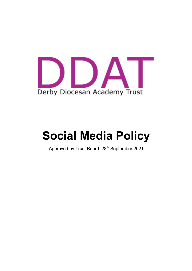

# **Social Media Policy**

Approved by Trust Board: 28<sup>th</sup> September 2021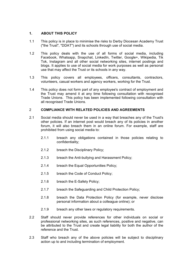# **1. ABOUT THIS POLICY**

- 1.1 This policy is in place to minimise the risks to Derby Diocesan Academy Trust ("the Trust", "DDAT") and its schools through use of social media.
- 1.2 This policy deals with the use of all forms of social media, including Facebook, Whatsapp, Snapchat, LinkedIn, Twitter, Google+, Wikipedia, Tik Tok, Instagram and all other social networking sites, internet postings and blogs. It applies to use of social media for work purposes as well as personal use that may affect the Trust or its schools in any way.
- 1.3 This policy covers all employees, officers, consultants, contractors, volunteers, casual workers and agency workers, working for the Trust.
- 1.4 This policy does not form part of any employee's contract of employment and the Trust may amend it at any time following consultation with recognised Trade Unions. This policy has been implemented following consultation with all recognised Trade Unions.

# 2 **COMPLIANCE WITH RELATED POLICIES AND AGREEMENTS**

- 2.1 Social media should never be used in a way that breaches any of the Trust's other policies. If an internet post would breach any of its policies in another forum, it will also breach them in an online forum. For example, staff are prohibited from using social media to:
	- 2.1.1 breach any obligations contained in those policies relating to confidentiality;
	- 2.1.2 breach the Disciplinary Policy;
	- 2.1.3 breach the Anti-bullying and Harassment Policy;
	- 2.1.4 breach the Equal Opportunities Policy;
	- 2.1.5 breach the Code of Conduct Policy;
	- 2.1.6 breach the E-Safety Policy;
	- 2.1.7 breach the Safeguarding and Child Protection Policy;
	- 2.1.8 breach the Data Protection Policy (for example, never disclose personal information about a colleague online); or
	- 2.1.9 breach any other laws or regulatory requirements.
- 2.2 Staff should never provide references for other individuals on social or professional networking sites, as such references, positive and negative, can be attributed to the Trust and create legal liability for both the author of the reference and the Trust.
- 2.3 Staff who breach any of the above policies will be subject to disciplinary action up to and including termination of employment.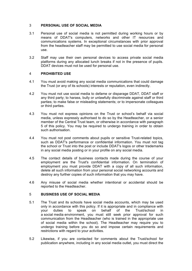### 3 **PERSONAL USE OF SOCIAL MEDIA**

- 3.1 Personal use of social media is not permitted during working hours or by means of DDAT's computers, networks and other IT resources and communications systems. In exceptional circumstances with prior approval from the headteacher staff may be permitted to use social media for personal use.
- 3.2 Staff may use their own personal devices to access private social media platforms during any allocated lunch breaks if not in the presence of pupils. DDAT devices must not be used for personal use.

#### 4 **PROHIBITED USE**

- 4.1 You must avoid making any social media communications that could damage the Trust (or any of its schools) interests or reputation, even indirectly.
- 4.2 You must not use social media to defame or disparage DDAT, DDAT staff or any third party; to harass, bully or unlawfully discriminate against staff or third parties; to make false or misleading statements; or to impersonate colleagues or third parties.
- 4.3 You must not express opinions on the Trust or school's behalf via social media, unless expressly authorised to do so by the Headteacher, or a senior member of the Central Trust team, or otherwise in accordance with paragraph 5 of this policy. You may be required to undergo training in order to obtain such authorisation.
- 4.4 You must not post comments about pupils or sensitive Trust-related topics, such as DDAT's performance or confidential information. You must not tag the school or Trust into the post or include DDAT's logos or other trademarks in any social media posting or in your profile on any social media.
- 4.5 The contact details of business contacts made during the course of your employment are the Trust's confidential information. On termination of employment you must provide DDAT with a copy of all such information, delete all such information from your personal social networking accounts and destroy any further copies of such information that you may have.
- 4.6 Any misuse of social media whether intentional or accidental should be reported to the Headteacher.

#### 5 **BUSINESS USE OF SOCIAL MEDIA**

- 5.1 The Trust and its schools have social media accounts, which may be used only in accordance with this policy. If it is appropriate and in compliance with your duties to speak on behalf of the Trust/school in a social media environment, you must still seek prior approval for such communication from the Headteacher (who is trained in the appropriate use of social media within the school). The Headteacher may require you to undergo training before you do so and impose certain requirements and restrictions with regard to your activities.
- 5.2 Likewise, if you are contacted for comments about the Trust/school for publication anywhere, including in any social media outlet, you must direct the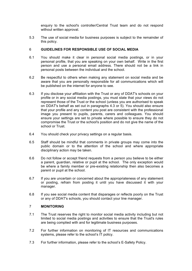enquiry to the school's controller/Central Trust team and do not respond without written approval.

5.3 The use of social media for business purposes is subject to the remainder of this policy.

#### 6 **GUIDELINES FOR RESPONSIBLE USE OF SOCIAL MEDIA**

- 6.1 You should make it clear in personal social media postings, or in your personal profile, that you are speaking on your own behalf. Write in the first person and use a personal email address. There should not be a link in personal posts between the individual and the school.
- 6.2 Be respectful to others when making any statement on social media and be aware that you are personally responsible for all communications which will be published on the internet for anyone to see.
- 6.3 If you disclose your affiliation with the Trust or any of DDAT's schools on your profile or in any social media postings, you must state that your views do not represent those of the Trust or the school (unless you are authorised to speak on DDAT's behalf as set out in paragraphs 4.3 or 5). You should also ensure that your profile and any content you post are consistent with the professional image you present to pupils, parents, carers and colleagues. You should ensure your settings are set to private where possible to ensure they do not compromise the Trust or the school's position and do not give the name of the school or Trust.
- 6.4 You should check your privacy settings on a regular basis.
- 6.5 Staff should be mindful that comments in private groups may come into the public domain or to the attention of the school and where appropriate disciplinary action may be taken.
- 6.6 Do not follow or accept friend requests from a person you believe to be either a parent, guardian, relative or pupil at the school. The only exception would be where a family member or pre-existing relationship then also becomes a parent or pupil at the school.
- 6.7 If you are uncertain or concerned about the appropriateness of any statement or posting, refrain from posting it until you have discussed it with your manager.
- 6.8 If you see social media content that disparages or reflects poorly on the Trust or any of DDAT's schools, you should contact your line manager.

# 7 **MONITORING**

- 7.1 The Trust reserves the right to monitor social media activity including but not limited to social media postings and activities to ensure that the Trust's rules are being complied with and for legitimate business purposes.
- 7.2 For further information on monitoring of IT resources and communications systems, please refer to the school's IT policy.
- 7.3 For further information, please refer to the school's E-Safety Policy.